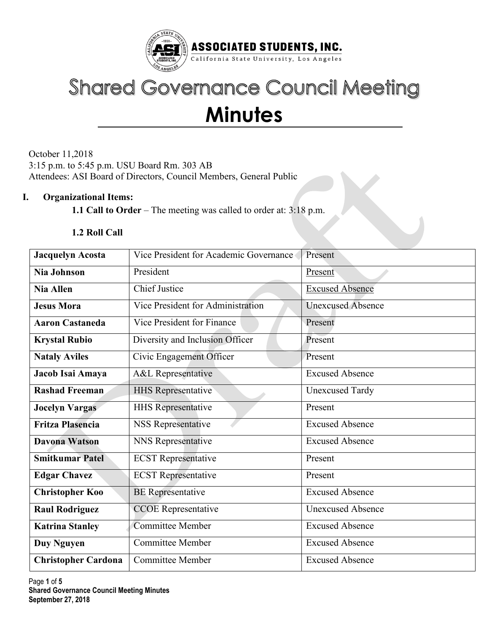

# **Shared Governance Council Meeting Minutes**

October 11,2018 3:15 p.m. to 5:45 p.m. USU Board Rm. 303 AB Attendees: ASI Board of Directors, Council Members, General Public

### **I. Organizational Items:**

**1.1 Call to Order** – The meeting was called to order at: 3:18 p.m.

#### **1.2 Roll Call**

| <b>Jacquelyn Acosta</b>                              | Vice President for Academic Governance | Present                  |  |  |
|------------------------------------------------------|----------------------------------------|--------------------------|--|--|
| <b>Nia Johnson</b>                                   | President                              | Present                  |  |  |
| <b>Nia Allen</b>                                     | <b>Chief Justice</b>                   | <b>Excused Absence</b>   |  |  |
| <b>Jesus Mora</b>                                    | Vice President for Administration      | <b>Unexcused Absence</b> |  |  |
| <b>Aaron Castaneda</b>                               | Vice President for Finance             | Present                  |  |  |
| <b>Krystal Rubio</b>                                 | Diversity and Inclusion Officer        | Present                  |  |  |
| <b>Nataly Aviles</b>                                 | Civic Engagement Officer               | Present                  |  |  |
| Jacob Isai Amaya                                     | A&L Representative                     | <b>Excused Absence</b>   |  |  |
| <b>Rashad Freeman</b>                                | <b>HHS Representative</b>              | <b>Unexcused Tardy</b>   |  |  |
| <b>Jocelyn Vargas</b>                                | <b>HHS Representative</b>              | Present                  |  |  |
| <b>Fritza Plasencia</b><br><b>NSS Representative</b> |                                        | <b>Excused Absence</b>   |  |  |
| <b>Davona Watson</b>                                 | NNS Representative                     | <b>Excused Absence</b>   |  |  |
| <b>Smitkumar Patel</b>                               | <b>ECST</b> Representative             | Present                  |  |  |
| <b>Edgar Chavez</b>                                  | <b>ECST</b> Representative             | Present                  |  |  |
| <b>Christopher Koo</b>                               | <b>BE</b> Representative               | <b>Excused Absence</b>   |  |  |
| <b>Raul Rodriguez</b>                                | <b>CCOE</b> Representative             | <b>Unexcused Absence</b> |  |  |
| <b>Katrina Stanley</b>                               | <b>Committee Member</b>                | <b>Excused Absence</b>   |  |  |
| <b>Duy Nguyen</b>                                    | <b>Committee Member</b>                | <b>Excused Absence</b>   |  |  |
| <b>Christopher Cardona</b>                           | <b>Committee Member</b>                | <b>Excused Absence</b>   |  |  |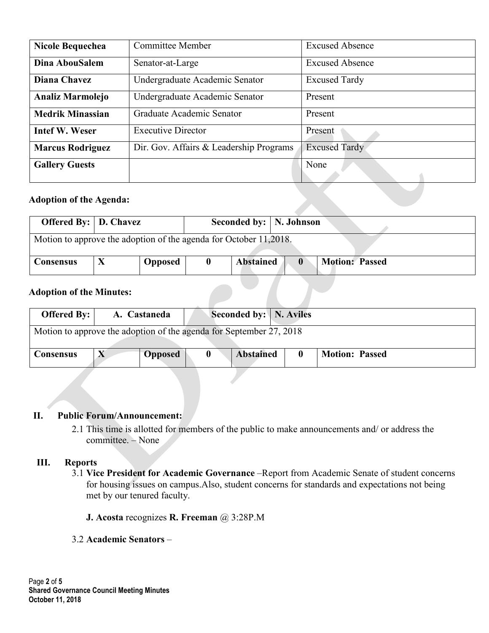| <b>Nicole Bequechea</b> | <b>Committee Member</b>                 | <b>Excused Absence</b> |  |  |
|-------------------------|-----------------------------------------|------------------------|--|--|
| Dina AbouSalem          | Senator-at-Large                        | <b>Excused Absence</b> |  |  |
| Diana Chavez            | Undergraduate Academic Senator          | <b>Excused Tardy</b>   |  |  |
| Analiz Marmolejo        | Undergraduate Academic Senator          | Present                |  |  |
| <b>Medrik Minassian</b> | Graduate Academic Senator               | Present                |  |  |
| <b>Intef W. Weser</b>   | <b>Executive Director</b>               | Present                |  |  |
| <b>Marcus Rodriguez</b> | Dir. Gov. Affairs & Leadership Programs | <b>Excused Tardy</b>   |  |  |
| <b>Gallery Guests</b>   |                                         | None                   |  |  |

## **Adoption of the Agenda:**

| Offered By:   D. Chavez                                           |  |         |  | Seconded by:   N. Johnson |              |                       |  |  |  |  |
|-------------------------------------------------------------------|--|---------|--|---------------------------|--------------|-----------------------|--|--|--|--|
| Motion to approve the adoption of the agenda for October 11,2018. |  |         |  |                           |              |                       |  |  |  |  |
|                                                                   |  |         |  |                           |              |                       |  |  |  |  |
| <b>Consensus</b>                                                  |  | Opposed |  | <b>Abstained</b>          | $\mathbf{0}$ | <b>Motion: Passed</b> |  |  |  |  |

## **Adoption of the Minutes:**

| <b>Offered By:</b> $\vert$                                          |  | A. Castaneda   |   |  | Seconded by:   N. Aviles |  |  |                       |
|---------------------------------------------------------------------|--|----------------|---|--|--------------------------|--|--|-----------------------|
| Motion to approve the adoption of the agenda for September 27, 2018 |  |                |   |  |                          |  |  |                       |
| <b>Consensus</b>                                                    |  | <b>Opposed</b> | 0 |  | <b>Abstained</b>         |  |  | <b>Motion: Passed</b> |

#### **II. Public Forum/Announcement:**

2.1 This time is allotted for members of the public to make announcements and/ or address the committee. – None

#### **III. Reports**

- 3.1 **Vice President for Academic Governance** –Report from Academic Senate of student concerns for housing issues on campus.Also, student concerns for standards and expectations not being met by our tenured faculty.
	- **J. Acosta** recognizes **R. Freeman** @ 3:28P.M
- 3.2 **Academic Senators** –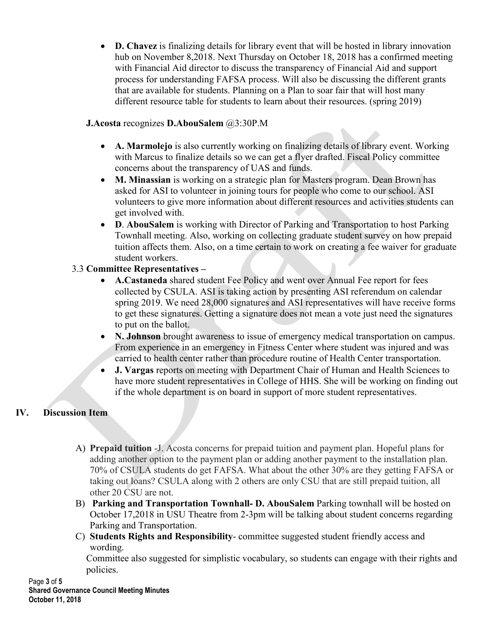• **D. Chavez** is finalizing details for library event that will be hosted in library innovation hub on November 8,2018. Next Thursday on October 18, 2018 has a confirmed meeting with Financial Aid director to discuss the transparency of Financial Aid and support process for understanding FAFSA process. Will also be discussing the different grants that are available for students. Planning on a Plan to soar fair that will host many different resource table for students to learn about their resources. (spring 2019)

# **J.Acosta** recognizes **D.AbouSalem** @3:30P.M

- **A. Marmolejo** is also currently working on finalizing details of library event. Working with Marcus to finalize details so we can get a flyer drafted. Fiscal Policy committee concerns about the transparency of UAS and funds.
- **M. Minassian** is working on a strategic plan for Masters program. Dean Brown has asked for ASI to volunteer in joining tours for people who come to our school. ASI volunteers to give more information about different resources and activities students can get involved with.
- **D**. **AbouSalem** is working with Director of Parking and Transportation to host Parking Townhall meeting. Also, working on collecting graduate student survey on how prepaid tuition affects them. Also, on a time certain to work on creating a fee waiver for graduate student workers.

# 3.3 **Committee Representatives –**

- **A.Castaneda** shared student Fee Policy and went over Annual Fee report for fees collected by CSULA. ASI is taking action by presenting ASI referendum on calendar spring 2019. We need 28,000 signatures and ASI representatives will have receive forms to get these signatures. Getting a signature does not mean a vote just need the signatures to put on the ballot.
- **N. Johnson** brought awareness to issue of emergency medical transportation on campus. From experience in an emergency in Fitness Center where student was injured and was carried to health center rather than procedure routine of Health Center transportation.
- **J. Vargas** reports on meeting with Department Chair of Human and Health Sciences to have more student representatives in College of HHS. She will be working on finding out if the whole department is on board in support of more student representatives.

# **IV. Discussion Item**

- A) **Prepaid tuition** -J. Acosta concerns for prepaid tuition and payment plan. Hopeful plans for adding another option to the payment plan or adding another payment to the installation plan. 70% of CSULA students do get FAFSA. What about the other 30% are they getting FAFSA or taking out loans? CSULA along with 2 others are only CSU that are still prepaid tuition, all other 20 CSU are not.
- B) **Parking and Transportation Townhall- D. AbouSalem** Parking townhall will be hosted on October 17,2018 in USU Theatre from 2-3pm will be talking about student concerns regarding Parking and Transportation.
- C) **Students Rights and Responsibility** committee suggested student friendly access and wording.

Committee also suggested for simplistic vocabulary, so students can engage with their rights and policies.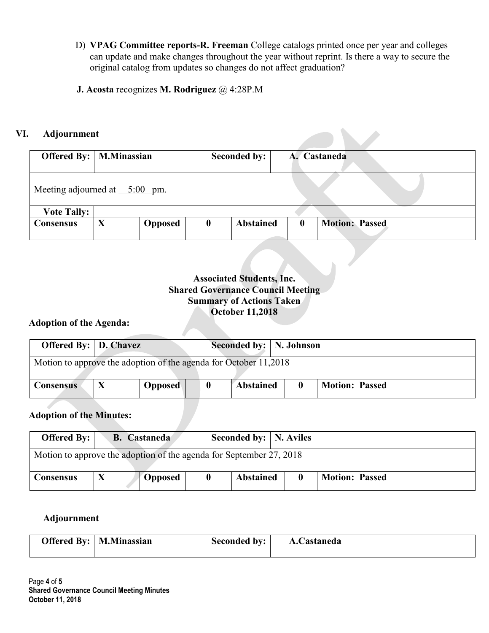- D) **VPAG Committee reports-R. Freeman** College catalogs printed once per year and colleges can update and make changes throughout the year without reprint. Is there a way to secure the original catalog from updates so changes do not affect graduation?
- **J. Acosta** recognizes **M. Rodriguez** @ 4:28P.M

## **VI. Adjournment**

| <b>Offered By:</b>   M.Minassian |   |                |                  | Seconded by:     |  |          | A. Castaneda          |  |  |
|----------------------------------|---|----------------|------------------|------------------|--|----------|-----------------------|--|--|
| Meeting adjourned at $5:00$ pm.  |   |                |                  |                  |  |          |                       |  |  |
| <b>Vote Tally:</b>               |   |                |                  |                  |  |          |                       |  |  |
| <b>Consensus</b>                 | X | <b>Opposed</b> | $\boldsymbol{0}$ | <b>Abstained</b> |  | $\bf{0}$ | <b>Motion: Passed</b> |  |  |

## **Associated Students, Inc. Shared Governance Council Meeting Summary of Actions Taken October 11,2018**

### **Adoption of the Agenda:**

| <b>Offered By:</b> D. Chavez                                     |  |                |                  | Seconded by:   N. Johnson |  |                       |  |  |
|------------------------------------------------------------------|--|----------------|------------------|---------------------------|--|-----------------------|--|--|
| Motion to approve the adoption of the agenda for October 11,2018 |  |                |                  |                           |  |                       |  |  |
| <b>Consensus</b>                                                 |  | <b>Opposed</b> | $\boldsymbol{0}$ | <b>Abstained</b>          |  | <b>Motion: Passed</b> |  |  |

# **Adoption of the Minutes:**

|                  | Seconded by:   N. Aviles<br><b>Offered By:</b>  <br><b>B.</b> Castaneda |           |          |                  |  |                       |  |  |  |  |
|------------------|-------------------------------------------------------------------------|-----------|----------|------------------|--|-----------------------|--|--|--|--|
|                  | Motion to approve the adoption of the agenda for September 27, 2018     |           |          |                  |  |                       |  |  |  |  |
| <b>Consensus</b> |                                                                         | " Opposed | $\bf{0}$ | <b>Abstained</b> |  | <b>Motion: Passed</b> |  |  |  |  |

#### **Adjournment**

| <b>Offered By:</b>   <b>M.Minassian</b> | <b>Seconded by:</b> | A.Castaneda |
|-----------------------------------------|---------------------|-------------|
|                                         |                     |             |